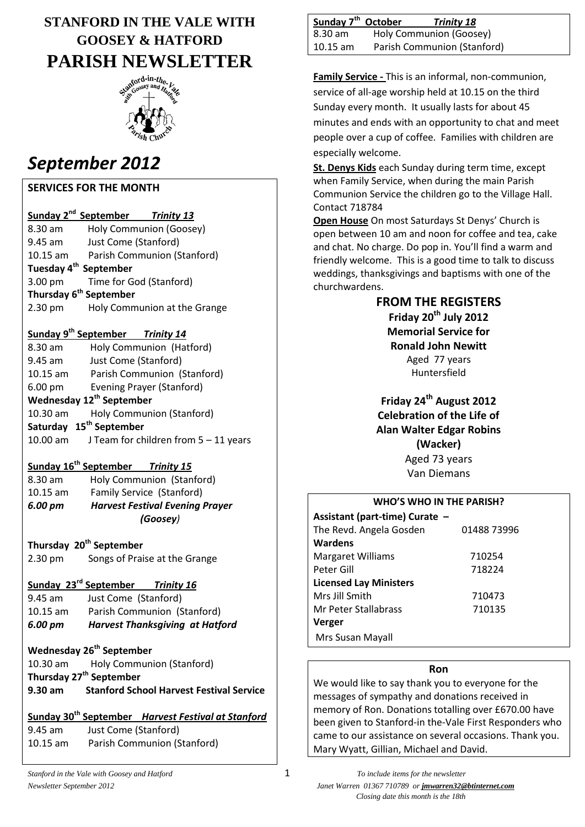# **STANFORD IN THE VALE WITH GOOSEY & HATFORD PARISH NEWSLETTER**



# *September 2012*

### **SERVICES FOR THE MONTH**

|                                    | Sunday 2 <sup>nd</sup> September Trinity 13 |                              |
|------------------------------------|---------------------------------------------|------------------------------|
| 8.30 am                            |                                             | Holy Communion (Goosey)      |
| 9.45 am                            | Just Come (Stanford)                        |                              |
| $10.15$ am                         |                                             | Parish Communion (Stanford)  |
| Tuesday 4 <sup>th</sup> September  |                                             |                              |
|                                    | 3.00 pm Time for God (Stanford)             |                              |
| Thursday 6 <sup>th</sup> September |                                             |                              |
| 2.30 pm                            |                                             | Holy Communion at the Grange |

#### **Sunday 9th September** *Trinity 14*

| 8.30 am                              | Holy Communion (Hatford)            |  |
|--------------------------------------|-------------------------------------|--|
| 9.45 am                              | Just Come (Stanford)                |  |
| $10.15$ am                           | Parish Communion (Stanford)         |  |
| $6.00 \text{ pm}$                    | Evening Prayer (Stanford)           |  |
| Wednesday 12 <sup>th</sup> September |                                     |  |
| 10.30 am                             | Holy Communion (Stanford)           |  |
|                                      | Saturday 15 <sup>th</sup> September |  |
|                                      |                                     |  |

#### 10.00 am J Team for children from 5 – 11 years

#### **Sunday 16th September** *Trinity 15*

| 6.00 pm    | <b>Harvest Festival Evening Prayer</b><br>(Goosey) |  |
|------------|----------------------------------------------------|--|
| $10.15$ am | Family Service (Stanford)                          |  |
| 8.30 am    | Holy Communion (Stanford)                          |  |

**Thursday 20th September** 2.30 pm Songs of Praise at the Grange

#### **Sunday 23rd September** *Trinity 16*

| 6.00 pm    | <b>Harvest Thanksgiving at Hatford</b> |
|------------|----------------------------------------|
| $10.15$ am | Parish Communion (Stanford)            |
| 9.45 am    | Just Come (Stanford)                   |

# **Wednesday 26th September**

| 10.30 am                            | <b>Holy Communion (Stanford)</b>                |  |
|-------------------------------------|-------------------------------------------------|--|
| Thursday 27 <sup>th</sup> September |                                                 |  |
| 9.30 am                             | <b>Stanford School Harvest Festival Service</b> |  |

# **Sunday 30th September** *Harvest Festival at Stanford*

| 9.45 am    | Just Come (Stanford)        |
|------------|-----------------------------|
| $10.15$ am | Parish Communion (Stanford) |

| Sunday 7 <sup>th</sup> October |                             | <b>Trinity 18</b>       |
|--------------------------------|-----------------------------|-------------------------|
| $  8.30$ am                    |                             | Holy Communion (Goosey) |
| $\vert$ 10.15 am               | Parish Communion (Stanford) |                         |

**Family Service -** This is an informal, non-communion, service of all-age worship held at 10.15 on the third Sunday every month. It usually lasts for about 45 minutes and ends with an opportunity to chat and meet people over a cup of coffee. Families with children are especially welcome.

**St. Denys Kids** each Sunday during term time, except when Family Service, when during the main Parish Communion Service the children go to the Village Hall. Contact 718784

**Open House** On most Saturdays St Denys' Church is open between 10 am and noon for coffee and tea, cake and chat. No charge. Do pop in. You'll find a warm and friendly welcome. This is a good time to talk to discuss weddings, thanksgivings and baptisms with one of the churchwardens.

#### **FROM THE REGISTERS**

**Friday 20th July 2012 Memorial Service for Ronald John Newitt** Aged 77 years Huntersfield

**Friday 24th August 2012 Celebration of the Life of Alan Walter Edgar Robins (Wacker)** Aged 73 years Van Diemans

| <b>WHO'S WHO IN THE PARISH?</b> |             |  |
|---------------------------------|-------------|--|
| Assistant (part-time) Curate -  |             |  |
| The Revd. Angela Gosden         | 01488 73996 |  |
| <b>Wardens</b>                  |             |  |
| <b>Margaret Williams</b>        | 710254      |  |
| Peter Gill                      | 718224      |  |
| <b>Licensed Lay Ministers</b>   |             |  |
| Mrs Jill Smith                  | 710473      |  |
| Mr Peter Stallabrass            | 710135      |  |
| <b>Verger</b>                   |             |  |
| Mrs Susan Mayall                |             |  |

#### **Ron**

We would like to say thank you to everyone for the messages of sympathy and donations received in memory of Ron. Donations totalling over £670.00 have been given to Stanford-in the-Vale First Responders who came to our assistance on several occasions. Thank you. Mary Wyatt, Gillian, Michael and David.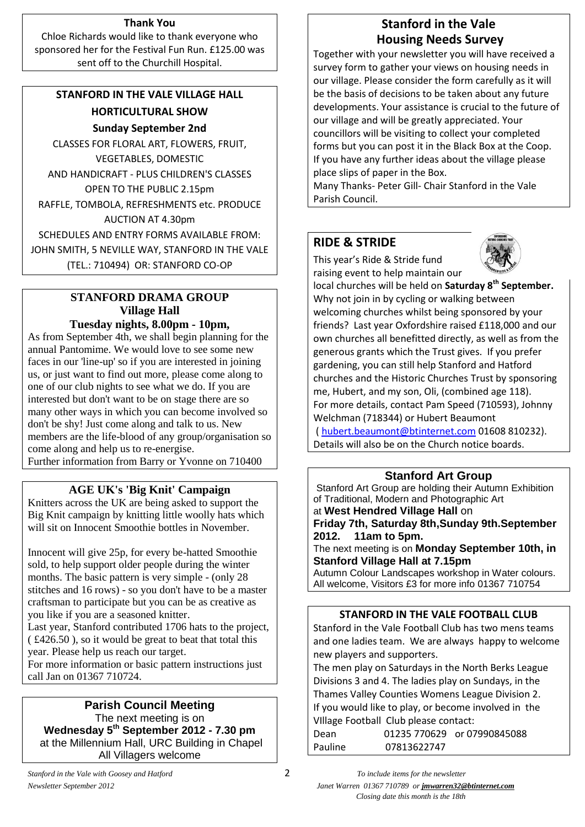#### **Thank You**

Chloe Richards would like to thank everyone who sponsored her for the Festival Fun Run. £125.00 was sent off to the Churchill Hospital.

# **STANFORD IN THE VALE VILLAGE HALL HORTICULTURAL SHOW Sunday September 2nd**

CLASSES FOR FLORAL ART, FLOWERS, FRUIT, VEGETABLES, DOMESTIC AND HANDICRAFT - PLUS CHILDREN'S CLASSES OPEN TO THE PUBLIC 2.15pm RAFFLE, TOMBOLA, REFRESHMENTS etc. PRODUCE AUCTION AT 4.30pm SCHEDULES AND ENTRY FORMS AVAILABLE FROM: JOHN SMITH, 5 NEVILLE WAY, STANFORD IN THE VALE (TEL.: 710494) OR: STANFORD CO-OP

#### **STANFORD DRAMA GROUP Village Hall Tuesday nights, 8.00pm - 10pm,**

As from September 4th, we shall begin planning for the annual Pantomime. We would love to see some new faces in our 'line-up' so if you are interested in joining us, or just want to find out more, please come along to one of our club nights to see what we do. If you are interested but don't want to be on stage there are so many other ways in which you can become involved so don't be shy! Just come along and talk to us. New members are the life-blood of any group/organisation so come along and help us to re-energise. Further information from Barry or Yvonne on 710400

# **AGE UK's 'Big Knit' Campaign**

Knitters across the UK are being asked to support the Big Knit campaign by knitting little woolly hats which will sit on Innocent Smoothie bottles in November.

Innocent will give 25p, for every be-hatted Smoothie sold, to help support older people during the winter months. The basic pattern is very simple - (only 28 stitches and 16 rows) - so you don't have to be a master craftsman to participate but you can be as creative as you like if you are a seasoned knitter. Last year, Stanford contributed 1706 hats to the project, ( £426.50 ), so it would be great to beat that total this year. Please help us reach our target. For more information or basic pattern instructions just

call Jan on 01367 710724.

# **Parish Council Meeting**

The next meeting is on **Wednesday 5th September 2012 - 7.30 pm** at the Millennium Hall, URC Building in Chapel All Villagers welcome

# **Stanford in the Vale Housing Needs Survey**

Together with your newsletter you will have received a survey form to gather your views on housing needs in our village. Please consider the form carefully as it will be the basis of decisions to be taken about any future developments. Your assistance is crucial to the future of our village and will be greatly appreciated. Your councillors will be visiting to collect your completed forms but you can post it in the Black Box at the Coop. If you have any further ideas about the village please place slips of paper in the Box.

Many Thanks- Peter Gill- Chair Stanford in the Vale Parish Council.

# **RIDE & STRIDE**

This year's Ride & Stride fund raising event to help maintain our



local churches will be held on **Saturday 8th September.** Why not join in by cycling or walking between welcoming churches whilst being sponsored by your friends? Last year Oxfordshire raised £118,000 and our own churches all benefitted directly, as well as from the generous grants which the Trust gives. If you prefer gardening, you can still help Stanford and Hatford churches and the Historic Churches Trust by sponsoring me, Hubert, and my son, Oli, (combined age 118). For more details, contact Pam Speed (710593), Johnny Welchman (718344) or Hubert Beaumont

( [hubert.beaumont@btinternet.com](mailto:hubert.beaumont@btinternet.com) 01608 810232). Details will also be on the Church notice boards.

#### **Stanford Art Group**

Stanford Art Group are holding their Autumn Exhibition of Traditional, Modern and Photographic Art at **West Hendred Village Hall** on

**Friday 7th, Saturday 8th,Sunday 9th.September 2012. 11am to 5pm.**

The next meeting is on **Monday September 10th, in Stanford Village Hall at 7.15pm**

Autumn Colour Landscapes workshop in Water colours. All welcome, Visitors £3 for more info 01367 710754

#### **STANFORD IN THE VALE FOOTBALL CLUB**

Stanford in the Vale Football Club has two mens teams and one ladies team. We are always happy to welcome new players and supporters.

The men play on Saturdays in the North Berks League Divisions 3 and 4. The ladies play on Sundays, in the Thames Valley Counties Womens League Division 2. If you would like to play, or become involved in the VIllage Football Club please contact:

| Dean    |             | 01235 770629 or 07990845088 |
|---------|-------------|-----------------------------|
| Pauline | 07813622747 |                             |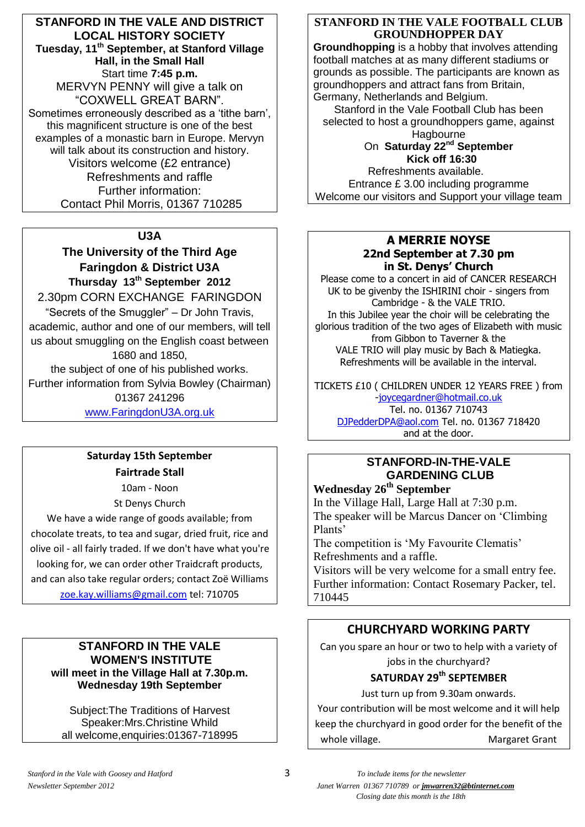**STANFORD IN THE VALE AND DISTRICT LOCAL HISTORY SOCIETY Tuesday, 11th September, at Stanford Village Hall, in the Small Hall** Start time **7:45 p.m.** MERVYN PENNY will give a talk on "COXWELL GREAT BARN". Sometimes erroneously described as a 'tithe barn', this magnificent structure is one of the best examples of a monastic barn in Europe. Mervyn will talk about its construction and history. Visitors welcome (£2 entrance) Refreshments and raffle Further information: Contact Phil Morris, 01367 710285

#### **U3A**

**The University of the Third Age Faringdon & District U3A Thursday 13th September 2012** 2.30pm CORN EXCHANGE FARINGDON "Secrets of the Smuggler" – Dr John Travis, academic, author and one of our members, will tell us about smuggling on the English coast between 1680 and 1850, the subject of one of his published works. Further information from Sylvia Bowley (Chairman) 01367 241296

[www.FaringdonU3A.org.uk](http://www.faringdonu3a.org.uk/)

# **Saturday 15th September Fairtrade Stall**

10am - Noon St Denys Church

We have a wide range of goods available; from chocolate treats, to tea and sugar, dried fruit, rice and olive oil - all fairly traded. If we don't have what you're looking for, we can order other Traidcraft products, and can also take regular orders; contact Zoë Williams [zoe.kay.williams@gmail.com](mailto:zoe.kay.williams@gmail.com) tel: 710705

#### **STANFORD IN THE VALE WOMEN'S INSTITUTE will meet in the Village Hall at 7.30p.m. Wednesday 19th September**

Subject:The Traditions of Harvest Speaker:Mrs.Christine Whild all welcome,enquiries:01367-718995

#### **STANFORD IN THE VALE FOOTBALL CLUB GROUNDHOPPER DAY**

**Groundhopping** is a hobby that involves attending football matches at as many different stadiums or grounds as possible. The participants are known as groundhoppers and attract fans from Britain, Germany, Netherlands and Belgium.

Stanford in the Vale Football Club has been selected to host a groundhoppers game, against **Hagbourne** 

#### On **Saturday 22nd September Kick off 16:30**

Refreshments available. Entrance £ 3.00 including programme Welcome our visitors and Support your village team

#### **A MERRIE NOYSE 22nd September at 7.30 pm in St. Denys' Church**

Please come to a concert in aid of CANCER RESEARCH UK to be givenby the ISHIRINI choir - singers from Cambridge - & the VALE TRIO. In this Jubilee year the choir will be celebrating the glorious tradition of the two ages of Elizabeth with music from Gibbon to Taverner & the VALE TRIO will play music by Bach & Matiegka. Refreshments will be available in the interval.

TICKETS £10 ( CHILDREN UNDER 12 YEARS FREE ) from [-joycegardner@hotmail.co.uk](mailto:joycegardner@hotmail.co.uk) Tel. no. 01367 710743 [DJPedderDPA@aol.com](mailto:DJPedderDPA@aol.com) Tel. no. 01367 718420 and at the door.

# **STANFORD-IN-THE-VALE GARDENING CLUB**

**Wednesday 26th September**

In the Village Hall, Large Hall at 7:30 p.m. The speaker will be Marcus Dancer on 'Climbing Plants'

The competition is 'My Favourite Clematis' Refreshments and a raffle.

Visitors will be very welcome for a small entry fee. Further information: Contact Rosemary Packer, tel. 710445

# **CHURCHYARD WORKING PARTY**

Can you spare an hour or two to help with a variety of jobs in the churchyard?

# **SATURDAY 29 th SEPTEMBER**

Just turn up from 9.30am onwards.

Your contribution will be most welcome and it will help keep the churchyard in good order for the benefit of the whole village. The Margaret Grant